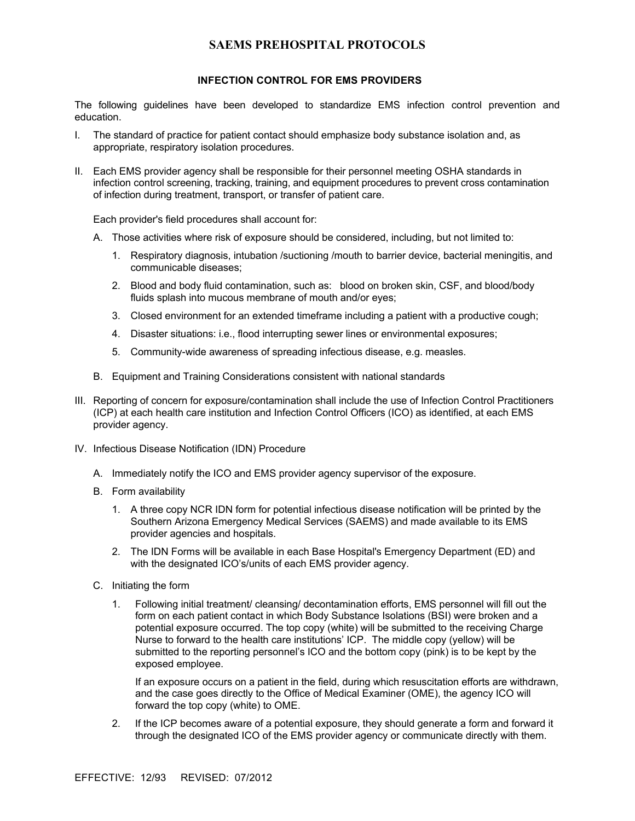## **SAEMS PREHOSPITAL PROTOCOLS**

## **INFECTION CONTROL FOR EMS PROVIDERS**

The following guidelines have been developed to standardize EMS infection control prevention and education.

- I. The standard of practice for patient contact should emphasize body substance isolation and, as appropriate, respiratory isolation procedures.
- II. Each EMS provider agency shall be responsible for their personnel meeting OSHA standards in infection control screening, tracking, training, and equipment procedures to prevent cross contamination of infection during treatment, transport, or transfer of patient care.

Each provider's field procedures shall account for:

- A. Those activities where risk of exposure should be considered, including, but not limited to:
	- 1. Respiratory diagnosis, intubation /suctioning /mouth to barrier device, bacterial meningitis, and communicable diseases;
	- 2. Blood and body fluid contamination, such as: blood on broken skin, CSF, and blood/body fluids splash into mucous membrane of mouth and/or eyes;
	- 3. Closed environment for an extended timeframe including a patient with a productive cough;
	- 4. Disaster situations: i.e., flood interrupting sewer lines or environmental exposures;
	- 5. Community-wide awareness of spreading infectious disease, e.g. measles.
- B. Equipment and Training Considerations consistent with national standards
- III. Reporting of concern for exposure/contamination shall include the use of Infection Control Practitioners (ICP) at each health care institution and Infection Control Officers (ICO) as identified, at each EMS provider agency.
- IV. Infectious Disease Notification (IDN) Procedure
	- A. Immediately notify the ICO and EMS provider agency supervisor of the exposure.
	- B. Form availability
		- 1. A three copy NCR IDN form for potential infectious disease notification will be printed by the Southern Arizona Emergency Medical Services (SAEMS) and made available to its EMS provider agencies and hospitals.
		- 2. The IDN Forms will be available in each Base Hospital's Emergency Department (ED) and with the designated ICO's/units of each EMS provider agency.
	- C. Initiating the form
		- 1. Following initial treatment/ cleansing/ decontamination efforts, EMS personnel will fill out the form on each patient contact in which Body Substance Isolations (BSI) were broken and a potential exposure occurred. The top copy (white) will be submitted to the receiving Charge Nurse to forward to the health care institutions' ICP. The middle copy (yellow) will be submitted to the reporting personnel's ICO and the bottom copy (pink) is to be kept by the exposed employee.

If an exposure occurs on a patient in the field, during which resuscitation efforts are withdrawn, and the case goes directly to the Office of Medical Examiner (OME), the agency ICO will forward the top copy (white) to OME.

2. If the ICP becomes aware of a potential exposure, they should generate a form and forward it through the designated ICO of the EMS provider agency or communicate directly with them.